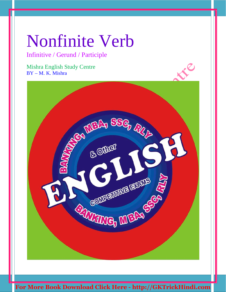Infinitive / Gerund / Participle

Mishra English Study Centre BY – M. K. Mishra

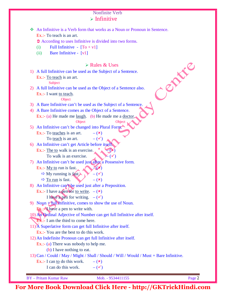### Nonfinite Verb  $\triangleright$  Infinitive

|      | • According to uses Infinitive is divided into two forms.                                                                |  |
|------|--------------------------------------------------------------------------------------------------------------------------|--|
| (i)  | Full Infinitive - $[To + v1]$                                                                                            |  |
| (ii) | <b>Bare Infinitive -</b> [v1]                                                                                            |  |
|      |                                                                                                                          |  |
|      | $\triangleright$ Rules & Uses<br>DEFE                                                                                    |  |
|      | 1) A full Infinitive can be used as the Subject of a Sentence.                                                           |  |
|      | Ex.:- To teach is an art.                                                                                                |  |
|      | Subject                                                                                                                  |  |
| 2)   | A full Infinitive can be used as the Object of a Sentence also.                                                          |  |
|      | Ex.:- I want to teach.                                                                                                   |  |
|      | Object                                                                                                                   |  |
|      | 3) A Bare Infinitive can't be used as the Subject of a Sentence.<br>A Bare Infinitive comes as the Object of a Sentence. |  |
| 4)   | Ex.:- (a) He made me <u>laugh</u> . (b) He made me a <u>doctor</u> ,                                                     |  |
|      | Object<br>Object                                                                                                         |  |
| 5)   | An Infinitive can't be changed into Plural Form.                                                                         |  |
|      | Ex.:- To teaches is an art.<br>$ (x)$                                                                                    |  |
|      | To teach is an art.<br>$-(\checkmark)$                                                                                   |  |
| 6)   | An Infinitive can't get Article before itself                                                                            |  |
|      | Ex.:- The to walk is an exercise.                                                                                        |  |
|      | To walk is an exercise.                                                                                                  |  |
| 7)   | An Infinitive can't be used just after a Possessive form.                                                                |  |
|      | Ex.:- My to run is fast.                                                                                                 |  |
|      | $\Rightarrow$ My running is fast.<br>$-(\checkmark)$                                                                     |  |
|      | $\Rightarrow$ To run is fast.<br>$ (x)$                                                                                  |  |
|      | 8) An Infinitive can't be used just after a Preposition.                                                                 |  |
|      | Ex.:- I have a pen for to write. $-$ ( $\mathbf{x}$ )                                                                    |  |
|      | I have a pen for writing. $-(\checkmark)$                                                                                |  |
|      | 9) Noun $\pm$ full Infinitive, comes to show the use of Noun.                                                            |  |
|      | Ex.: <sup>2</sup> have a pen to write with.                                                                              |  |
|      | 10) An Ordinal Adjective of Number can get full Infinitive after itself.                                                 |  |
|      | $Ex.:$ I am the third to come here.                                                                                      |  |
|      | $11$ <sup><math>\AA</math></sup> Superlative form can get full Infinitive after itself.                                  |  |
|      | Ex.:- You are the best to do this work.                                                                                  |  |
|      | 12) An Indefinite Pronoun can get full Infinitive after itself.                                                          |  |
|      | Ex.: (a) There was nobody to help me.                                                                                    |  |
|      | (b) I have nothing to eat.                                                                                               |  |
|      | 13) Can / Could / May / Might / Shall / Should / Will / Would / Must + Bare Infinitive.                                  |  |
|      | Ex.:- I can to do this work.<br>$-$ ( $\mathbf{x})$                                                                      |  |
|      |                                                                                                                          |  |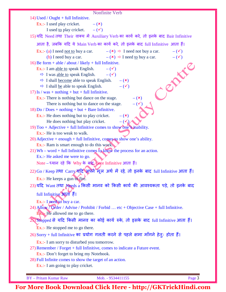| Nonfinite Verb                                                                                                             |
|----------------------------------------------------------------------------------------------------------------------------|
| 14) Used / Ought + full Infinitive.                                                                                        |
| Ex.:- I used play cricket.<br>$-(x)$                                                                                       |
| I used <u>to</u> play cricket. $-(\checkmark)$                                                                             |
| 15)यदि Need तथा Their वाक्य में Auxiliary Verb का कार्य करे, तो इनके बाद Bair Infinitive                                   |
| आता है, जबकि यदि ये Main Verb का कार्य करे, तो इनके बाद full Infinitive आता हैं।                                           |
| Ex.:- (a) I need <u>not to</u> buy a car. $-(\mathbf{x}) \Rightarrow$ I need not buy a car.<br>$-$ ( $\checkmark$ )        |
| $-(\checkmark)$<br>(b) I need buy a car. $-({\bf x}) \Rightarrow$ I need <u>to</u> buy a car.                              |
| 16) Be form + able / about / likely + full Infinitive.                                                                     |
| Ex.:- I am <u>able to</u> speak English. $-(\checkmark)$                                                                   |
| $\Rightarrow$ I was <u>able to</u> speak English. $-(\checkmark)$                                                          |
| LE<br>$\Rightarrow$ I shall become able to speak English. $-(\ast)$                                                        |
| $-$ ( $\checkmark$ )<br>$\Rightarrow$ I shall be able to speak English.<br>17) Is / was + nothing + but + full Infinitive. |
| $ (x)$<br>Ex.:- There is nothing but dance on the stage.                                                                   |
| There is nothing but to dance on the stage.<br>$-(\checkmark)$                                                             |
| $18$ ) Do / Does + nothing + but + Bare Infinitive.                                                                        |
| Ex.:- He does nothing but to play cricket.<br>$ (x)$                                                                       |
| He does nothing but play cricket.<br>$ (\sqrt{s})$                                                                         |
| 19) Too + Adjective + full Infinitive comes to show one's inability.                                                       |
| Ex.:- He is too weak to walk.                                                                                              |
| $20$ ) Adjective + enough + full Infinitive, comes to show one's ability.                                                  |
| Ex.:- Ram is smart enough to do this work.                                                                                 |
| $21)$ Wh – word + full Infinitive comes to know the process for an action.<br>Ex.:- He asked me were to go.                |
| Note - ध्यान रहे कि Why के बाद Bare Infinitive आता हैं।                                                                    |
|                                                                                                                            |
| 22) Go / Keep तथा Carry यदि अपने मूल अर्थ में रहे, तो इनके बाद full Infinitive आता हैं।                                    |
| Ex.:- He keeps a gun to five.                                                                                              |
| 23)यदि Want तथा Needs a किसी मानव को किसी कार्य की आवश्यकता पड़े, तो इनके बाद                                              |
| full Infinitive अपूर्ता है।                                                                                                |
| Ex.:- I need to buy a car.                                                                                                 |
| 24) Allow / Order / Advise / Prohibit / Forbid  etc + Objective Case + full Infinitive.                                    |
| <b>Ex</b> . He allowed me to go there.                                                                                     |
| 25) Stopped से यदि किसी मानव का कोई कार्य रुके, तो इसके बाद full Infinitive आता हैं।                                       |
| Ex.:- He stopped me to go there.                                                                                           |
| 26) Sorry + full Infinitive का प्रयोग गलती करने से पहले क्षमा माँगने हेतुः होता हैं।                                       |
| Ex.:- I am sorry to disturbed you tomorrow.                                                                                |
| 27) Remember / Forget + full Infinitive, comes to indicate a Future event.                                                 |
| Ex.:- Don't forget to bring my Notebook.                                                                                   |
| 28) Full Infinite comes to show the target of an action.                                                                   |
| Ex.:- I am going to play cricket.                                                                                          |
| <b>BY</b> - Pritam Kumar Raw<br>Page 3<br>Mob. - 9534411155                                                                |
|                                                                                                                            |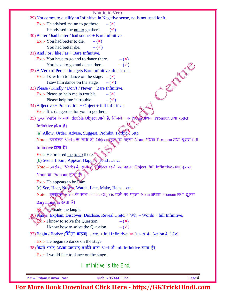| Nonfinite Verb                                                                                                     |           |
|--------------------------------------------------------------------------------------------------------------------|-----------|
| 29) Not comes to qualify an Infinitive in Negative sense, no is not used for it.                                   |           |
| Ex.:- He advised me no to go there.<br>$ (x)$                                                                      |           |
| He advised me <u>not to</u> go there. $-(\checkmark)$                                                              |           |
| 30) Better / had better / had sooner + Bare Infinitive.                                                            |           |
| Ex.:- You had better to die.<br>$ (x)$                                                                             |           |
| $ (\checkmark)$<br>You had better die.                                                                             |           |
| 31) And / or / like / $as + Bar$ e Infinitive.                                                                     |           |
| Ex.:- You have to go and to dance there.<br>$ (\star)$                                                             |           |
| You have to go and dance there.<br>$-$ ( $\checkmark$ )                                                            |           |
| 32) A Verb of Perception gets Bare Infinitive after itself.                                                        | Charles R |
| Ex.:- I saw him to dance on the stage. $-(x)$<br>I saw him dance on the stage. $-(\checkmark)$                     |           |
| 33) Please / Kindly / Don't / Never + Bare Infinitive.                                                             |           |
| Ex.:- Please to help me in trouble.<br>$ (x)$                                                                      |           |
| Please help me in trouble.<br>$-(\checkmark)$                                                                      |           |
| $34)$ Adjective + Preposition + Object + full Infinitive.                                                          |           |
| Ex.:- It is dangerous for you to go there.                                                                         |           |
| 35) कुछ Verbs के साथ double Object आते हैं, जिनमे एक Noun अथवा Pronoun तथा दूसरा                                   |           |
| Infinitive होता हैं।                                                                                               |           |
|                                                                                                                    |           |
| (a) Allow, Order, Advise, Suggest, Prohibit, Forbidetc.                                                            |           |
| Note - उपरोक्त Verbs के साथ दो Object रहने पर पहला Noun अथवा Pronoun तथा दूसरा full                                |           |
| Infinitive होता हैं।                                                                                               |           |
| Ex.:- He ordered me to go there.                                                                                   |           |
| (b) Seem, Loom, Appear, Happen, Tend etc.                                                                          |           |
| Note – उपरोक्त Verbs के साथ दो Object रहने पर पहला Object, full Infinitive तथा दूसरा                               |           |
| Noun या Pronoun होता है।                                                                                           |           |
| Ex.:- He appears to be Ram.                                                                                        |           |
| (c) See, Hear, Notice, Watch, Late, Make, Help etc.                                                                |           |
| Note - उपरोक्त Verbs के साथ double Objects रहने पर पहला Noun अथवा Pronoun तथा दूसरा                                |           |
| Bare Infinitive रहता है।                                                                                           |           |
|                                                                                                                    |           |
| Ex.:- He made me laugh.                                                                                            |           |
| 36) Know, Explain, Discover, Disclose, Reveal etc. + Wh. - Words + full Infinitive.                                |           |
| <b>Ex.:-</b> I know to solve the Question.<br>$-({\bf x})$<br>I know how to solve the Question.<br>$-(\checkmark)$ |           |
|                                                                                                                    |           |
| 37) Begin / Bother (चिंता करना) etc. + full Infinitive. ⇒ [मानव के Action के लिए]                                  |           |
| Ex.:- He began to dance on the stage.                                                                              |           |
| 38) किसी पसंद अथवा नापसंद दर्शाने वाले Verb में full Infinitive आता हैं।                                           |           |
| Ex.:- I would like to dance on the stage.                                                                          |           |
|                                                                                                                    |           |
| I nfinitive is the End.                                                                                            |           |
| <b>BY</b> - Pritam Kumar Raw<br>Mob. - 9534411155                                                                  | Page 4    |
|                                                                                                                    |           |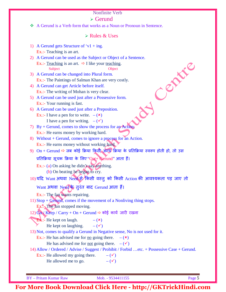#### $\triangleright$  Gerund

A Gerund is a Verb form that works as a Noun or Pronoun in Sentence.

#### $\triangleright$  Rules & Uses

- 1) A Gerund gets Structure of 'v1 + ing. Ex.:- Teaching is an art.
- 2) A Gerund can be used as the Subject or Object of a Sentence.
	- Ex.:- Teaching is an art.  $\Rightarrow$  I like your teaching. Subject Object
- 3) A Gerund can be changed into Plural form. Ex.:- The Paintings of Salman Khan are very costly.
- 4) A Gerund can get Article before itself. Ex.:- The writing of Mohan is very clear.
- 5) A Gerund can be used just after a Possessive form. Ex.:- Your running is fast.
- 6) A Gerund can be used just after a Preposition. Ex.:- I have a pen for to write.  $-$  ( $\star$ )
	- I have a pen for writing.  $-(\checkmark)$
- 7) By + Gerund, comes to show the process for an Action. Ex.:- He earns money by working hard.
- 8) Without  $+$  Gerund, comes to ignore a process for an Action. Ex.:- He earns money without working hard.
- 9)  $On + Gerund \Rightarrow$  जब कोई क्रिया किसी अन्यू क्रिया के प्रतिक्रिया स्वरूप होती हो, तो उस

प्रतिक्रिया सूचक क्रिया के लिए "On + Gerund" आता हैं।

Ex.:- (a) On asking he didn't say anything.

- (b) On beating he began to cry.
- 10)यदि Want अथवा Need से बिसी वस्तु को किसी Action की आवश्यकता पड़ जाए तो

Want अथवा Need के तुरंत बाद Gerund आता हैं।

Ex.:- The fan wants repairing.

11) Stop + Gerund, comes if the movement of a Nonliving thing stops.

- $Ex\rightarrow$  The fan stopped moving.
- $12)$  Go $\sqrt{K}$ eep / Carry + On + Gerund  $\Rightarrow$  कोई कार्य जारी रखना
	- **Ex.:** He kept on laugh.  $-$  ( $\mathbf{x}$ )
		- He kept on laughing.  $-(\checkmark)$

13) Not, comes to qualify a Gerund in Negative sense, No is not used for it.

- Ex.:- He has advised me for <u>no</u> going there.  $-({\bf x})$ 
	- He has advised me for <u>not</u> going there.  $-(\checkmark)$
- 14) Allow / Ordered / Advise / Suggest / Prohibit / Forbid …etc. + Possessive Case + Gerund.

Ex.:- He allowed my going there.  $-$  ( $\checkmark$ ) He allowed me to go.  $-$  ( $\checkmark$ )

BY – Pritam Kumar Raw Mob. - 9534411155 Page 5

Centre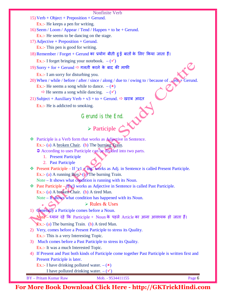15) Verb + Object + Preposition + Gerund.

Ex.:- He keeps a pen for writing.

16) Seem / Loom / Appear / Tend / Happen + to be + Gerund.

Ex.:- He seems to be dancing on the stage.

17) Adjective + Preposition + Gerund.

Ex.:- This pen is good for writing.

18) Remember / Forget + Gerund का प्रयोग बीती हुई बातों के लिए किया जाता हैं।

Ex.:- I forget bringing your notebook.  $-(\checkmark)$ 

 $19$ ) Sorry + for + Gerund  $\Rightarrow$  गलती करने के बाद की माफी

Ex.:- I am sorry for disturbing you.

20) When / while / before / after / since / along / due to / owing to / because of …etc + Gerund.

Ex.:- He seems a song while to dance.  $-$  ( $\star$ )

 $\Rightarrow$  He seems a song while dancing.  $-(\checkmark)$ 

21) Subject + Auxiliary Verb +  $v3 + to +$  Gerund.  $\Rightarrow$  खराब आदत

Ex.:- He is addicted to smoking.

Gerund is the End.

# $\triangleright$  Participle  $\bigcirc$

◆ Participle is a Verb form that works as Adjective in Sentence. Ex.:- (a) A <u>broken Chair</u>. (b) The burning Train.

According to uses Participle can be divided into two parts.

- 1. Present Participle
- 2. Past Participle
- $\cdot \cdot$  Present Participle If 'y1 + ing' works as Adj. in Sentence is called Present Participle. Ex.:- (a) A running  $B_0y$ (b) The burning Train.

Note – It shows what condition is running with its Noun.

 $\cdot$  Past Participle –  $\Lambda$  V<sub>3</sub> works as Adjective in Sentence is called Past Participle. Ex.:- (a) A broken Chair. (b) A tired Man.

Note – It shows what condition has happened with its Noun.

Rules & Uses

1) Generally a Participle comes before a Noun.

 $\text{Note} - \epsilon$ यान रहे कि Participle + Noun के पहले Article का आना आवश्यक हो जाता हैं।

Ex.:- (a) The burning Train. (b) A tired Man.

- 2) Very, comes before a Present Participle to stress its Quality. Ex.:- This is a very Interesting Topic.
- 3) Much comes before a Past Participle to stress its Quality. Ex.:- It was a much Interested Topic.
- 4) If Present and Past both kinds of Participle come together Past Participle is written first and Present Participle is later.

Ex.:- I have drinking polluted water.  $-$  ( $\ast$ )

I have polluted drinking water.  $-(\checkmark)$ 

BY – Pritam Kumar Raw Mob. - 9534411155 Page 6